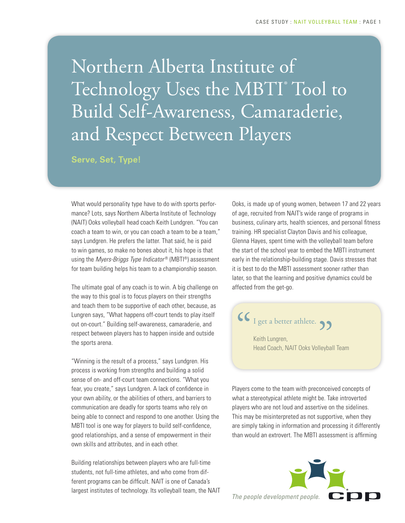Northern Alberta Institute of Technology Uses the MBTI® Tool to Build Self-Awareness, Camaraderie, and Respect Between Players

**Serve, Set, Type!**

What would personality type have to do with sports performance? Lots, says Northern Alberta Institute of Technology (NAIT) Ooks volleyball head coach Keith Lundgren. "You can coach a team to win, or you can coach a team to be a team," says Lundgren. He prefers the latter. That said, he is paid to win games, so make no bones about it, his hope is that using the *Myers-Briggs Type Indicator* ® (MBTI®) assessment for team building helps his team to a championship season.

The ultimate goal of any coach is to win. A big challenge on the way to this goal is to focus players on their strengths and teach them to be supportive of each other, because, as Lungren says, "What happens off-court tends to play itself out on-court." Building self-awareness, camaraderie, and respect between players has to happen inside and outside the sports arena.

"Winning is the result of a process," says Lundgren. His process is working from strengths and building a solid sense of on- and off-court team connections. "What you fear, you create," says Lundgren. A lack of confidence in your own ability, or the abilities of others, and barriers to communication are deadly for sports teams who rely on being able to connect and respond to one another. Using the MBTI tool is one way for players to build self-confidence, good relationships, and a sense of empowerment in their own skills and attributes, and in each other.

Building relationships between players who are full-time students, not full-time athletes, and who come from different programs can be difficult. NAIT is one of Canada's largest institutes of technology. Its volleyball team, the NAIT Ooks, is made up of young women, between 17 and 22 years of age, recruited from NAIT's wide range of programs in business, culinary arts, health sciences, and personal fitness training. HR specialist Clayton Davis and his colleague, Glenna Hayes, spent time with the volleyball team before the start of the school year to embed the MBTI instrument early in the relationship-building stage. Davis stresses that it is best to do the MBTI assessment sooner rather than later, so that the learning and positive dynamics could be affected from the get-go.



Players come to the team with preconceived concepts of what a stereotypical athlete might be. Take introverted players who are not loud and assertive on the sidelines. This may be misinterpreted as not supportive, when they are simply taking in information and processing it differently than would an extrovert. The MBTI assessment is affirming